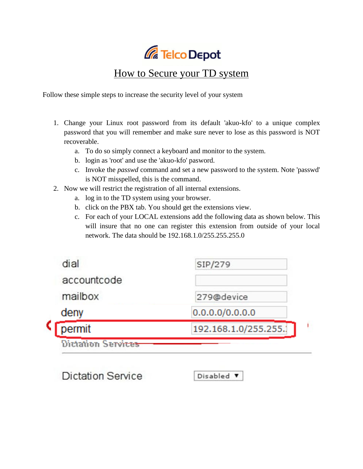

## How to Secure your TD system

Follow these simple steps to increase the security level of your system

- 1. Change your Linux root password from its default 'akuo-kfo' to a unique complex password that you will remember and make sure never to lose as this password is NOT recoverable.
	- a. To do so simply connect a keyboard and monitor to the system.
	- b. login as 'root' and use the 'akuo-kfo' pasword.
	- c. Invoke the *passwd* command and set a new password to the system. Note 'passwd' is NOT misspelled, this is the command.
- 2. Now we will restrict the registration of all internal extensions.
	- a. log in to the TD system using your browser.
	- b. click on the PBX tab. You should get the extensions view.
	- c. For each of your LOCAL extensions add the following data as shown below. This will insure that no one can register this extension from outside of your local network. The data should be 192.168.1.0/255.255.255.0

| <b>Dictation Services</b> |                      |
|---------------------------|----------------------|
| permit                    | 192.168.1.0/255.255. |
| deny                      | 0.0.0.0/0.0.0.0      |
| mailbox                   | 279@device           |
| accountcode               |                      |
| dial                      | SIP/279              |

**Dictation Service** 

Disabled **v**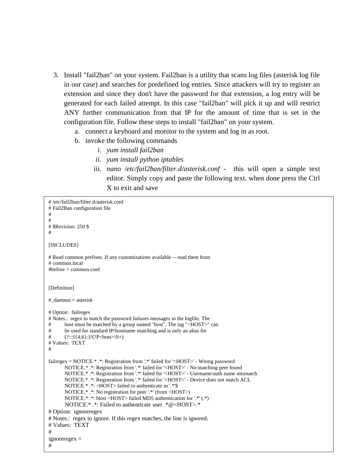- 3. Install "fail2ban" on your system. Fail2ban is a utility that scans log files (asterisk log file in our case) and searches for predefined log entries. Since attackers will try to register an extension and since they don't have the password for that extension, a log entry will be generated for each failed attempt. In this case "fail2ban" will pick it up and will restrict ANY further communication from that IP for the amount of time that is set in the configuration file. Follow these steps to install "fail2ban" on your system.
	- a. connect a keyboard and monitor to the system and log in as root.
	- b. invoke the following commands
		- *i. yum install fail2ban*
		- *ii. yum install python iptables*
		- iii. *nano /etc/fail2ban/filter.d/asterisk.conf* this will open a simple text editor. Simply copy and paste the following text. when done press the Ctrl X to exit and save

```
# /etc/fail2ban/filter.d/asterisk.conf
# Fail2Ban configuration file
#
#
# $Revision: 250 $
#
[INCLUDES]
# Read common prefixes. If any customizations available -- read them from
# common.local
#before = common.conf
[Definition]
#_daemon = asterisk
# Option: failregex
# Notes.: regex to match the password failures messages in the logfile. The
# host must be matched by a group named "host". The tag "<HOST>" can
# be used for standard IP/hostname matching and is only an alias for
# (?:::f{4,6}:)?(?P<host>>S+)# Values: TEXT
#
failregex = NOTICE.* .*: Registration from '.*' failed for '<HOST>' - Wrong password
        NOTICE.* .*: Registration from '.*' failed for '<HOST>' - No matching peer found
        NOTICE.* .*: Registration from '.*' failed for '<HOST>' - Username/auth name mismatch
        NOTICE.* .*: Registration from '.*' failed for '<HOST>' - Device does not match ACL
        NOTICE.* .*: <HOST> failed to authenticate as '.*'$
        NOTICE.* .*: No registration for peer '.*' (from <HOST>)
        NOTICE.* .*: Host <HOST> failed MD5 authentication for '.*' (.*)
        NOTICE.* .*: Failed to authenticate user .*@<HOST>.*
# Option: ignoreregex
# Notes.: regex to ignore. If this regex matches, the line is ignored.
# Values: TEXT
#
ignoreregex =
#
```